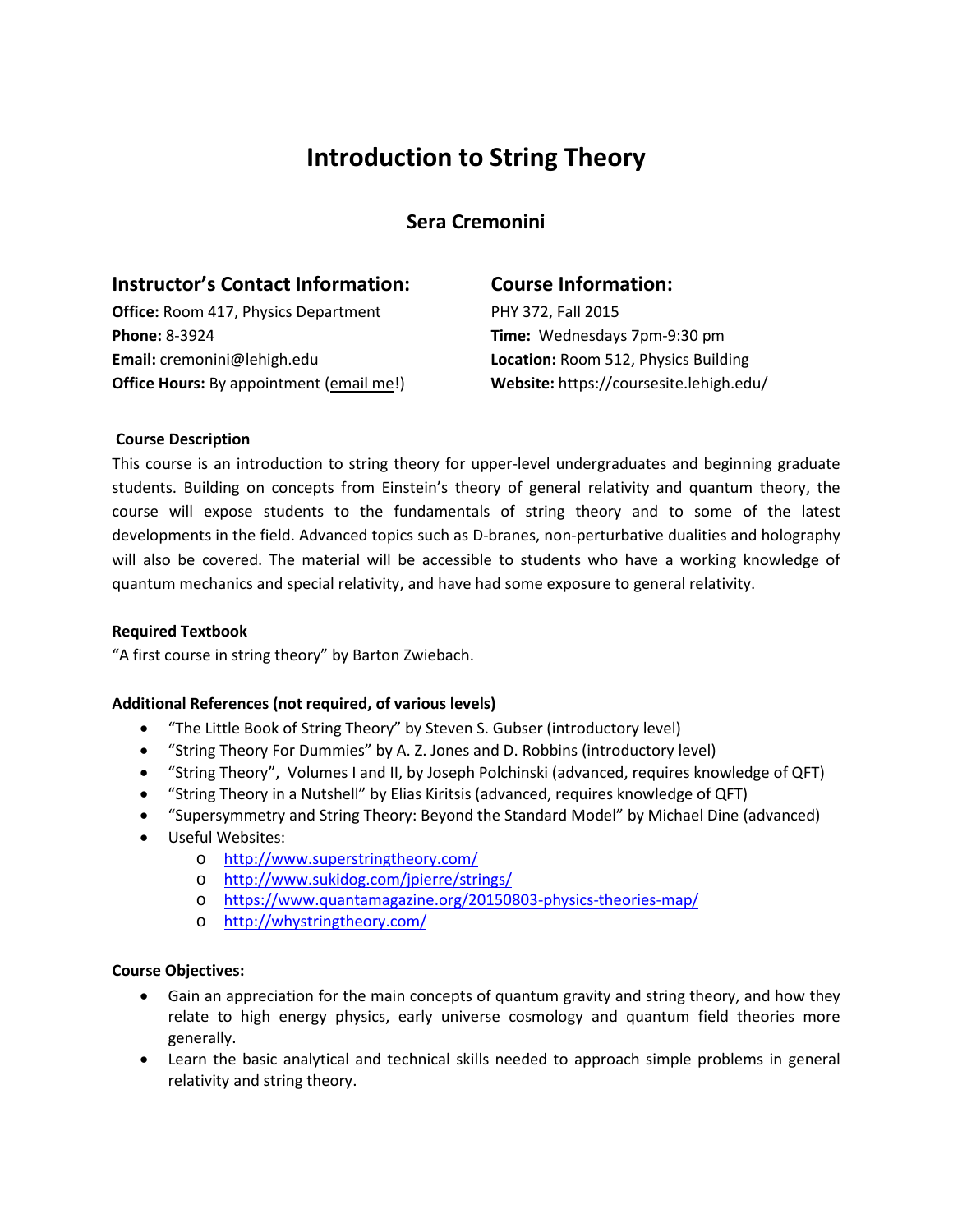## **Introduction to String Theory**

**Sera Cremonini**

### **Instructor's Contact Information:**

**Office:** Room 417, Physics Department **Phone:** 8-3924 **Email:** cremonini@lehigh.edu **Office Hours:** By appointment (email me!)

## **Course Information:**

PHY 372, Fall 2015 **Time:** Wednesdays 7pm-9:30 pm **Location:** Room 512, Physics Building **Website:** https://coursesite.lehigh.edu/

#### **Course Description**

This course is an introduction to string theory for upper-level undergraduates and beginning graduate students. Building on concepts from Einstein's theory of general relativity and quantum theory, the course will expose students to the fundamentals of string theory and to some of the latest developments in the field. Advanced topics such as D-branes, non-perturbative dualities and holography will also be covered. The material will be accessible to students who have a working knowledge of quantum mechanics and special relativity, and have had some exposure to general relativity.

#### **Required Textbook**

"A first course in string theory" by Barton Zwiebach.

#### **Additional References (not required, of various levels)**

- "The Little Book of String Theory" by Steven S. Gubser (introductory level)
- "String Theory For Dummies" by A. Z. Jones and D. Robbins (introductory level)
- "String Theory", Volumes I and II, by Joseph Polchinski (advanced, requires knowledge of QFT)
- "String Theory in a Nutshell" by Elias Kiritsis (advanced, requires knowledge of QFT)
- "Supersymmetry and String Theory: Beyond the Standard Model" by Michael Dine (advanced)
- Useful Websites:
	- o <http://www.superstringtheory.com/>
	- o <http://www.sukidog.com/jpierre/strings/>
	- o <https://www.quantamagazine.org/20150803-physics-theories-map/>
	- o <http://whystringtheory.com/>

#### **Course Objectives:**

- Gain an appreciation for the main concepts of quantum gravity and string theory, and how they relate to high energy physics, early universe cosmology and quantum field theories more generally.
- Learn the basic analytical and technical skills needed to approach simple problems in general relativity and string theory.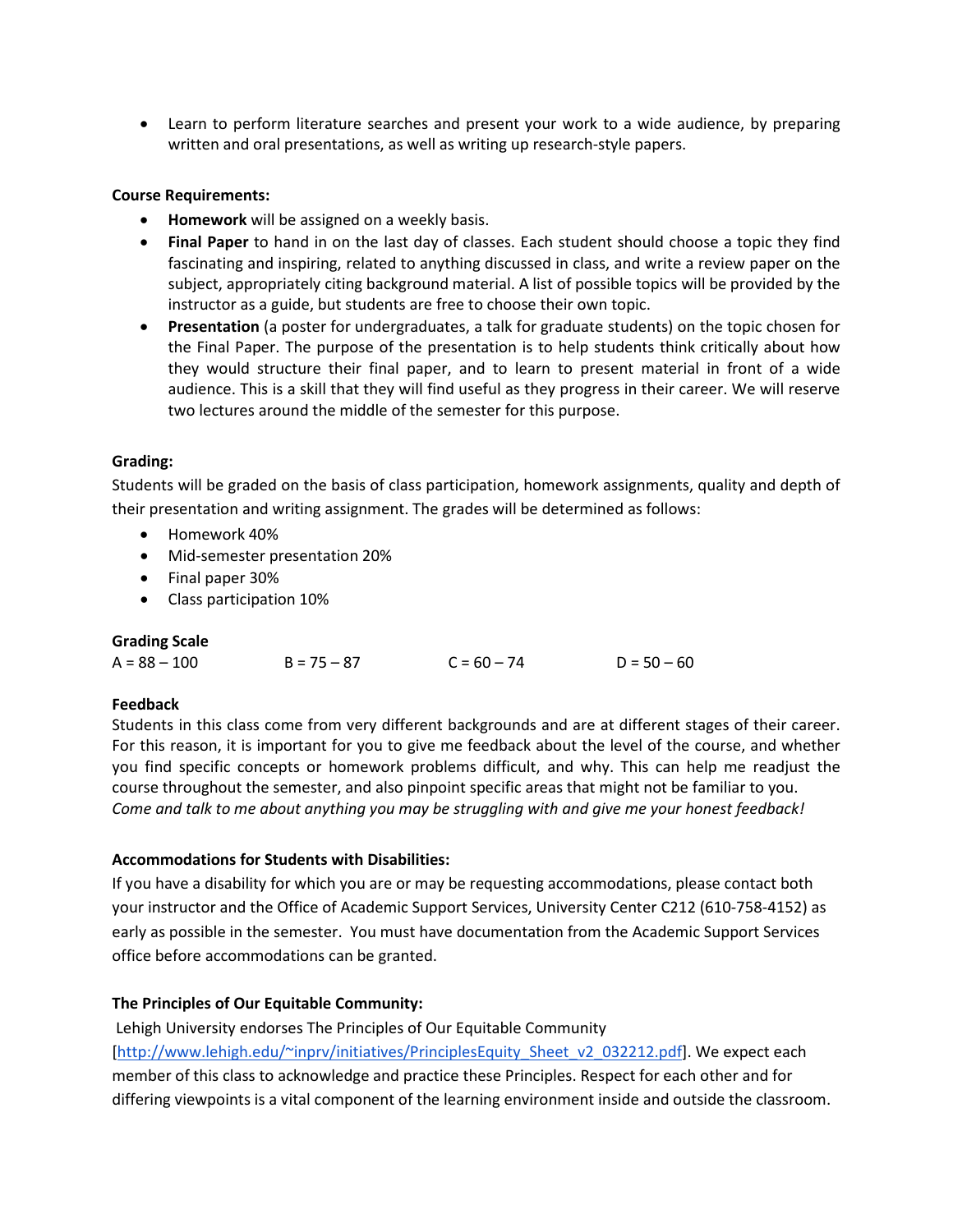• Learn to perform literature searches and present your work to a wide audience, by preparing written and oral presentations, as well as writing up research-style papers.

#### **Course Requirements:**

- **Homework** will be assigned on a weekly basis.
- **Final Paper** to hand in on the last day of classes. Each student should choose a topic they find fascinating and inspiring, related to anything discussed in class, and write a review paper on the subject, appropriately citing background material. A list of possible topics will be provided by the instructor as a guide, but students are free to choose their own topic.
- **Presentation** (a poster for undergraduates, a talk for graduate students) on the topic chosen for the Final Paper. The purpose of the presentation is to help students think critically about how they would structure their final paper, and to learn to present material in front of a wide audience. This is a skill that they will find useful as they progress in their career. We will reserve two lectures around the middle of the semester for this purpose.

#### **Grading:**

Students will be graded on the basis of class participation, homework assignments, quality and depth of their presentation and writing assignment. The grades will be determined as follows:

- Homework 40%
- Mid-semester presentation 20%
- Final paper 30%
- Class participation 10%

#### **Grading Scale**

| $A = 88 - 100$ | $B = 75 - 87$ | $C = 60 - 74$ | $D = 50 - 60$ |
|----------------|---------------|---------------|---------------|
|                |               |               |               |

#### **Feedback**

Students in this class come from very different backgrounds and are at different stages of their career. For this reason, it is important for you to give me feedback about the level of the course, and whether you find specific concepts or homework problems difficult, and why. This can help me readjust the course throughout the semester, and also pinpoint specific areas that might not be familiar to you. *Come and talk to me about anything you may be struggling with and give me your honest feedback!*

#### **Accommodations for Students with Disabilities:**

If you have a disability for which you are or may be requesting accommodations, please contact both your instructor and the Office of Academic Support Services, University Center C212 (610-758-4152) as early as possible in the semester. You must have documentation from the Academic Support Services office before accommodations can be granted.

#### **The Principles of Our Equitable Community:**

Lehigh University endorses The Principles of Our Equitable Community

[\[http://www.lehigh.edu/~inprv/initiatives/PrinciplesEquity\\_Sheet\\_v2\\_032212.pdf\]](http://www.lehigh.edu/~inprv/initiatives/PrinciplesEquity_Sheet_v2_032212.pdf). We expect each member of this class to acknowledge and practice these Principles. Respect for each other and for differing viewpoints is a vital component of the learning environment inside and outside the classroom.